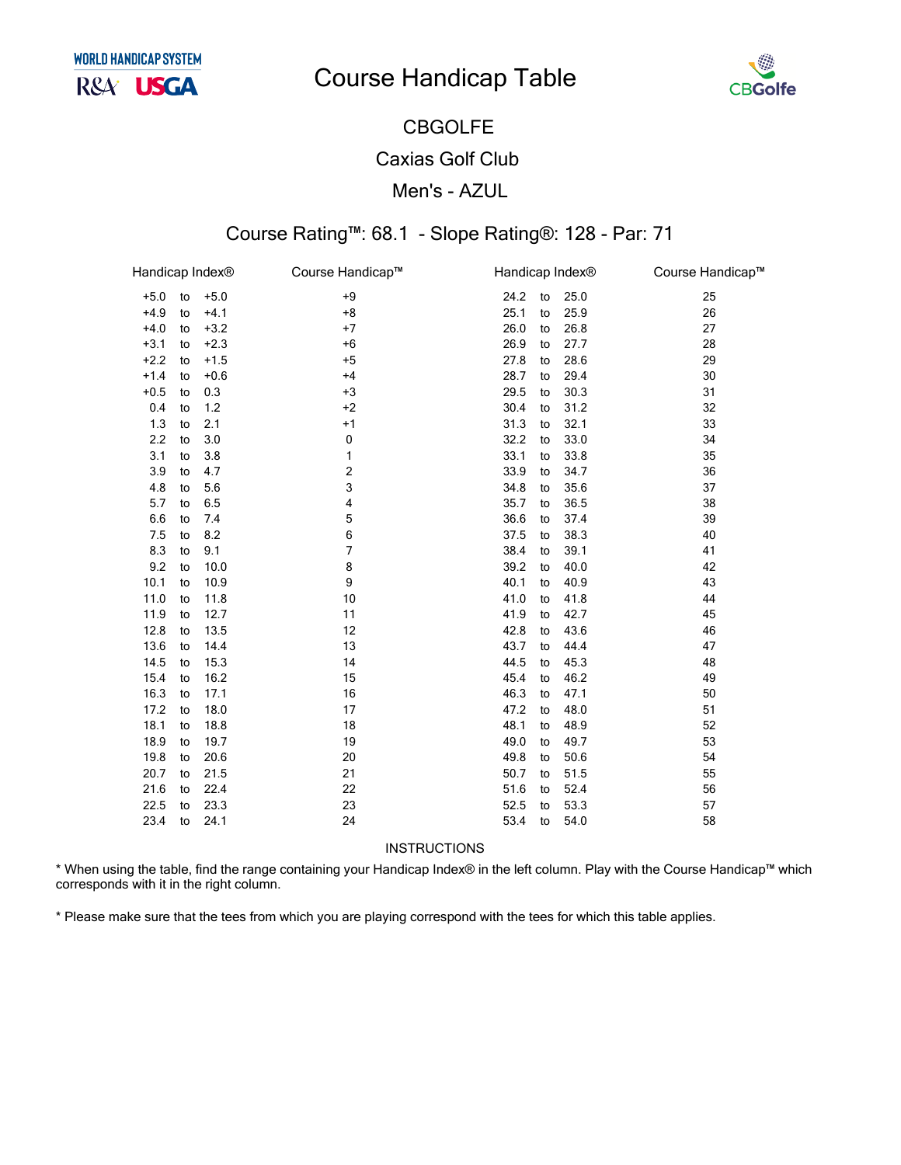# **Course Handicap Table**



## **CBGOLFE Caxias Golf Club** Men's - AZUL

### Course Rating™: 68.1 - Slope Rating®: 128 - Par: 71

| Handicap Index® |    |        | Course Handicap™ | Handicap Index <sup>®</sup> |    |      | Course Handicap™ |
|-----------------|----|--------|------------------|-----------------------------|----|------|------------------|
| $+5.0$          | to | $+5.0$ | $+9$             | 24.2                        | to | 25.0 | 25               |
| $+4.9$          | to | $+4.1$ | $+8$             | 25.1                        | to | 25.9 | 26               |
| $+4.0$          | to | $+3.2$ | $+7$             | 26.0                        | to | 26.8 | 27               |
| $+3.1$          | to | $+2.3$ | $+6$             | 26.9                        | to | 27.7 | 28               |
| $+2.2$          | to | $+1.5$ | $+5$             | 27.8                        | to | 28.6 | 29               |
| $+1.4$          | to | $+0.6$ | $+4$             | 28.7                        | to | 29.4 | 30               |
| $+0.5$          | to | 0.3    | $+3$             | 29.5                        | to | 30.3 | 31               |
| 0.4             | to | $1.2$  | $+2$             | 30.4                        | to | 31.2 | 32               |
| 1.3             | to | 2.1    | $+1$             | 31.3                        | to | 32.1 | 33               |
| 2.2             | to | 3.0    | 0                | 32.2                        | to | 33.0 | 34               |
| 3.1             | to | 3.8    | 1                | 33.1                        | to | 33.8 | 35               |
| 3.9             | to | 4.7    | 2                | 33.9                        | to | 34.7 | 36               |
| 4.8             | to | 5.6    | 3                | 34.8                        | to | 35.6 | 37               |
| 5.7             | to | 6.5    | 4                | 35.7                        | to | 36.5 | 38               |
| 6.6             | to | 7.4    | 5                | 36.6                        | to | 37.4 | 39               |
| 7.5             | to | 8.2    | 6                | 37.5                        | to | 38.3 | 40               |
| 8.3             | to | 9.1    | 7                | 38.4                        | to | 39.1 | 41               |
| 9.2             | to | 10.0   | 8                | 39.2                        | to | 40.0 | 42               |
| 10.1            | to | 10.9   | 9                | 40.1                        | to | 40.9 | 43               |
| 11.0            | to | 11.8   | 10               | 41.0                        | to | 41.8 | 44               |
| 11.9            | to | 12.7   | 11               | 41.9                        | to | 42.7 | 45               |
| 12.8            | to | 13.5   | 12               | 42.8                        | to | 43.6 | 46               |
| 13.6            | to | 14.4   | 13               | 43.7                        | to | 44.4 | 47               |
| 14.5            | to | 15.3   | 14               | 44.5                        | to | 45.3 | 48               |
| 15.4            | to | 16.2   | 15               | 45.4                        | to | 46.2 | 49               |
| 16.3            | to | 17.1   | 16               | 46.3                        | to | 47.1 | 50               |
| 17.2            | to | 18.0   | 17               | 47.2                        | to | 48.0 | 51               |
| 18.1            | to | 18.8   | 18               | 48.1                        | to | 48.9 | 52               |
| 18.9            | to | 19.7   | 19               | 49.0                        | to | 49.7 | 53               |
| 19.8            | to | 20.6   | 20               | 49.8                        | to | 50.6 | 54               |
| 20.7            | to | 21.5   | 21               | 50.7                        | to | 51.5 | 55               |
| 21.6            | to | 22.4   | 22               | 51.6                        | to | 52.4 | 56               |
| 22.5            | to | 23.3   | 23               | 52.5                        | to | 53.3 | 57               |
| 23.4            | to | 24.1   | 24               | 53.4                        | to | 54.0 | 58               |

**INSTRUCTIONS** 

\* When using the table, find the range containing your Handicap Index® in the left column. Play with the Course Handicap™ which corresponds with it in the right column.

\* Please make sure that the tees from which you are playing correspond with the tees for which this table applies.